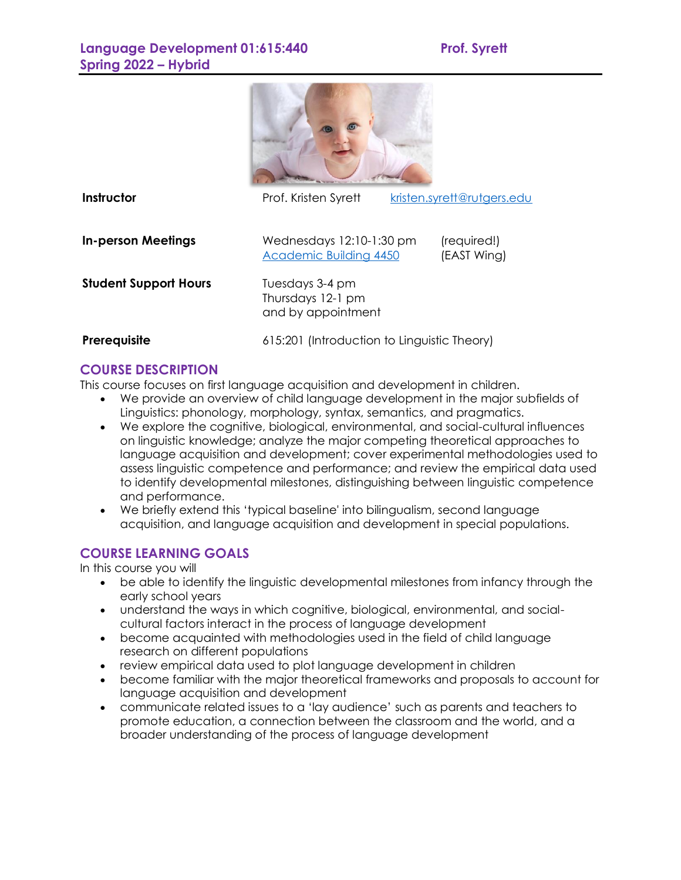

**Instructor Prof. Kristen Syrett** [kristen.syrett@rutgers.edu](mailto:kristen.syrett@rutgers.edu)

**In-person Meetings** Wednesdays 12:10-1:30 pm (required!)

[Academic Building](https://maps.rutgers.edu/#/?click=true&lat=40.501929&lng=-74.448113&selected=3198&sidebar=true&zoom=19) 4450 (EAST Wing)

**Student Support Hours** Tuesdays 3-4 pm

Thursdays 12-1 pm and by appointment

**Prerequisite** 615:201 (Introduction to Linguistic Theory)

# **COURSE DESCRIPTION**

This course focuses on first language acquisition and development in children.

- We provide an overview of child language development in the major subfields of Linguistics: phonology, morphology, syntax, semantics, and pragmatics.
- We explore the cognitive, biological, environmental, and social-cultural influences on linguistic knowledge; analyze the major competing theoretical approaches to language acquisition and development; cover experimental methodologies used to assess linguistic competence and performance; and review the empirical data used to identify developmental milestones, distinguishing between linguistic competence and performance.
- We briefly extend this 'typical baseline' into bilingualism, second language acquisition, and language acquisition and development in special populations.

# **COURSE LEARNING GOALS**

In this course you will

- be able to identify the linguistic developmental milestones from infancy through the early school years
- understand the ways in which cognitive, biological, environmental, and socialcultural factors interact in the process of language development
- become acquainted with methodologies used in the field of child language research on different populations
- review empirical data used to plot language development in children
- become familiar with the major theoretical frameworks and proposals to account for language acquisition and development
- communicate related issues to a 'lay audience' such as parents and teachers to promote education, a connection between the classroom and the world, and a broader understanding of the process of language development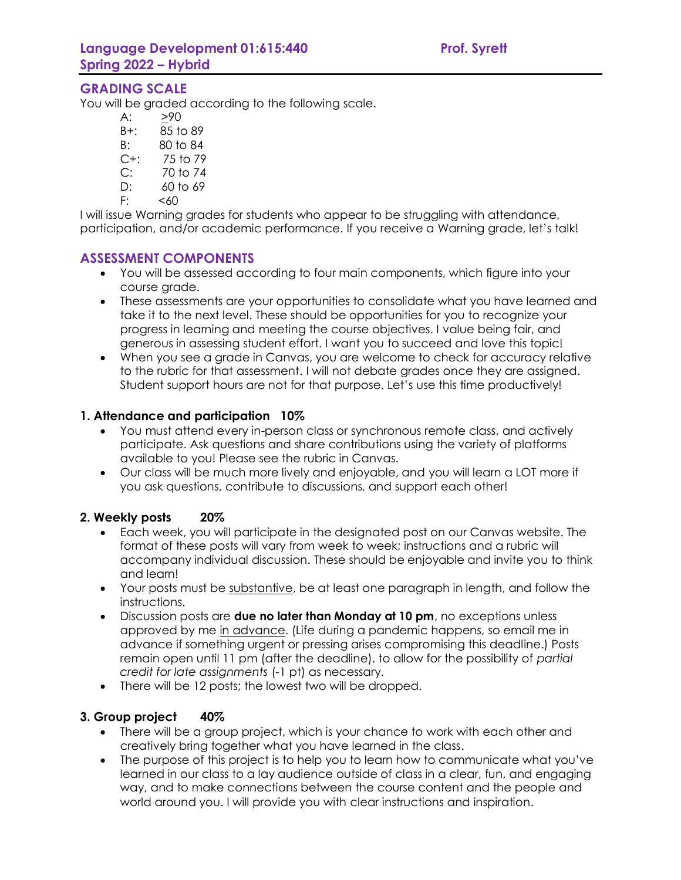## **GRADING SCALE**

You will be graded according to the following scale.

- A: >90
- B+: 85 to 89
- B: 80 to 84
- C+: 75 to 79
- C: 70 to 74
- D: 60 to 69
- $F: < 60$

I will issue Warning grades for students who appear to be struggling with attendance, participation, and/or academic performance. If you receive a Warning grade, let's talk!

### **ASSESSMENT COMPONENTS**

- You will be assessed according to four main components, which figure into your course grade.
- These assessments are your opportunities to consolidate what you have learned and take it to the next level. These should be opportunities for you to recognize your progress in learning and meeting the course objectives. I value being fair, and generous in assessing student effort. I want you to succeed and love this topic!
- When you see a grade in Canvas, you are welcome to check for accuracy relative to the rubric for that assessment. I will not debate grades once they are assigned. Student support hours are not for that purpose. Let's use this time productively!

### **1. Attendance and participation 10%**

- You must attend every in-person class or synchronous remote class, and actively participate. Ask questions and share contributions using the variety of platforms available to you! Please see the rubric in Canvas.
- Our class will be much more lively and enjoyable, and you will learn a LOT more if you ask questions, contribute to discussions, and support each other!

#### **2. Weekly posts 20%**

- Each week, you will participate in the designated post on our Canvas website. The format of these posts will vary from week to week; instructions and a rubric will accompany individual discussion. These should be enjoyable and invite you to think and learn!
- Your posts must be substantive, be at least one paragraph in length, and follow the instructions.
- Discussion posts are **due no later than Monday at 10 pm**, no exceptions unless approved by me in advance. (Life during a pandemic happens, so email me in advance if something urgent or pressing arises compromising this deadline.) Posts remain open until 11 pm (after the deadline), to allow for the possibility of *partial credit for late assignments* (-1 pt) as necessary.
- There will be 12 posts; the lowest two will be dropped.

#### **3. Group project 40%**

- There will be a group project, which is your chance to work with each other and creatively bring together what you have learned in the class.
- The purpose of this project is to help you to learn how to communicate what you've learned in our class to a lay audience outside of class in a clear, fun, and engaging way, and to make connections between the course content and the people and world around you. I will provide you with clear instructions and inspiration.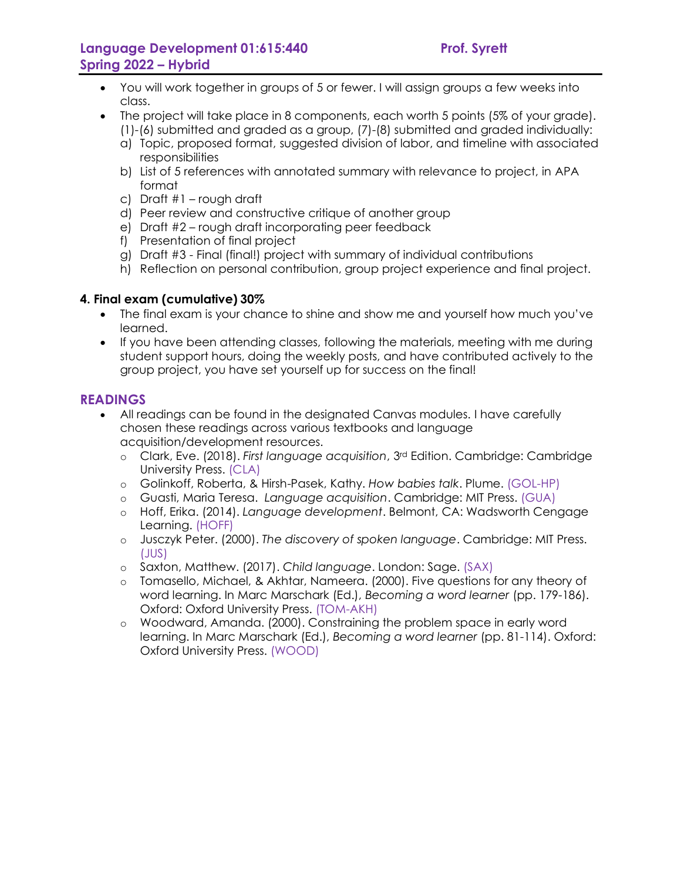- You will work together in groups of 5 or fewer. I will assign groups a few weeks into class.
- The project will take place in 8 components, each worth 5 points (5% of your grade). (1)-(6) submitted and graded as a group, (7)-(8) submitted and graded individually:
	- a) Topic, proposed format, suggested division of labor, and timeline with associated responsibilities
	- b) List of 5 references with annotated summary with relevance to project, in APA format
	- c) Draft #1 rough draft
	- d) Peer review and constructive critique of another group
	- e) Draft #2 rough draft incorporating peer feedback
	- f) Presentation of final project
	- g) Draft #3 Final (final!) project with summary of individual contributions
	- h) Reflection on personal contribution, group project experience and final project.

### **4. Final exam (cumulative) 30%**

- The final exam is your chance to shine and show me and yourself how much you've learned.
- If you have been attending classes, following the materials, meeting with me during student support hours, doing the weekly posts, and have contributed actively to the group project, you have set yourself up for success on the final!

### **READINGS**

- All readings can be found in the designated Canvas modules. I have carefully chosen these readings across various textbooks and language acquisition/development resources.
	- o Clark, Eve. (2018). *First language acquisition*, 3rd Edition. Cambridge: Cambridge University Press. (CLA)
	- o Golinkoff, Roberta, & Hirsh-Pasek, Kathy. *How babies talk*. Plume. (GOL-HP)
	- o Guasti, Maria Teresa. *Language acquisition*. Cambridge: MIT Press. (GUA)
	- o Hoff, Erika. (2014). *Language development*. Belmont, CA: Wadsworth Cengage Learning. (HOFF)
	- o Jusczyk Peter. (2000). *The discovery of spoken language*. Cambridge: MIT Press. (JUS)
	- o Saxton, Matthew. (2017). *Child language*. London: Sage. (SAX)
	- o Tomasello, Michael, & Akhtar, Nameera. (2000). Five questions for any theory of word learning. In Marc Marschark (Ed.), *Becoming a word learner* (pp. 179-186). Oxford: Oxford University Press. (TOM-AKH)
	- o Woodward, Amanda. (2000). Constraining the problem space in early word learning. In Marc Marschark (Ed.), *Becoming a word learner* (pp. 81-114). Oxford: Oxford University Press. (WOOD)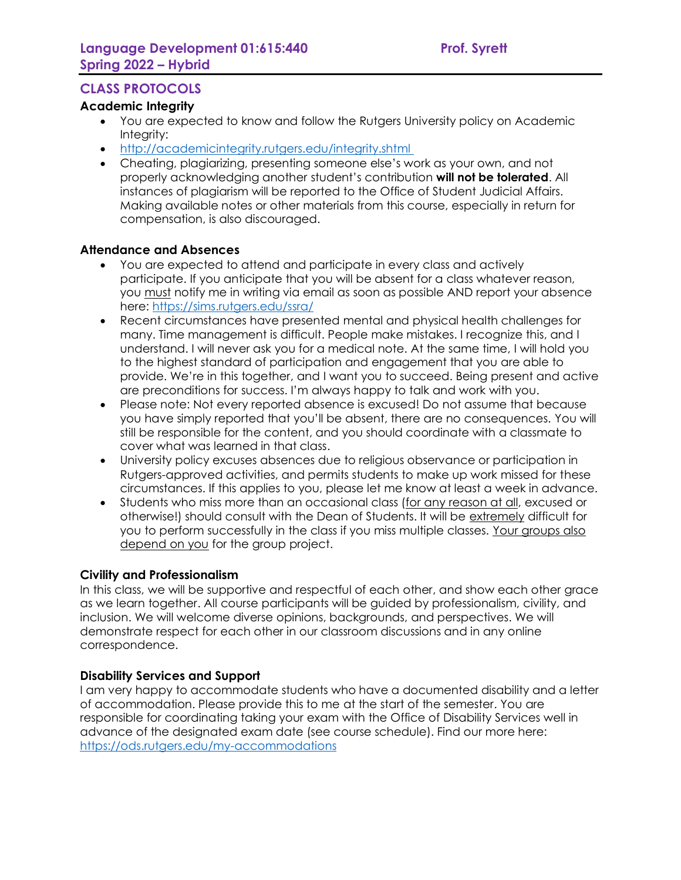## **CLASS PROTOCOLS**

#### **Academic Integrity**

- You are expected to know and follow the Rutgers University policy on Academic Integrity:
- <http://academicintegrity.rutgers.edu/integrity.shtml>
- Cheating, plagiarizing, presenting someone else's work as your own, and not properly acknowledging another student's contribution **will not be tolerated**. All instances of plagiarism will be reported to the Office of Student Judicial Affairs. Making available notes or other materials from this course, especially in return for compensation, is also discouraged.

#### **Attendance and Absences**

- You are expected to attend and participate in every class and actively participate. If you anticipate that you will be absent for a class whatever reason, you must notify me in writing via email as soon as possible AND report your absence here: <https://sims.rutgers.edu/ssra/>
- Recent circumstances have presented mental and physical health challenges for many. Time management is difficult. People make mistakes. I recognize this, and I understand. I will never ask you for a medical note. At the same time, I will hold you to the highest standard of participation and engagement that you are able to provide. We're in this together, and I want you to succeed. Being present and active are preconditions for success. I'm always happy to talk and work with you.
- Please note: Not every reported absence is excused! Do not assume that because you have simply reported that you'll be absent, there are no consequences. You will still be responsible for the content, and you should coordinate with a classmate to cover what was learned in that class.
- University policy excuses absences due to religious observance or participation in Rutgers-approved activities, and permits students to make up work missed for these circumstances. If this applies to you, please let me know at least a week in advance.
- Students who miss more than an occasional class (for any reason at all, excused or otherwise!) should consult with the Dean of Students. It will be extremely difficult for you to perform successfully in the class if you miss multiple classes. Your groups also depend on you for the group project.

#### **Civility and Professionalism**

In this class, we will be supportive and respectful of each other, and show each other grace as we learn together. All course participants will be guided by professionalism, civility, and inclusion. We will welcome diverse opinions, backgrounds, and perspectives. We will demonstrate respect for each other in our classroom discussions and in any online correspondence.

#### **Disability Services and Support**

I am very happy to accommodate students who have a documented disability and a letter of accommodation. Please provide this to me at the start of the semester. You are responsible for coordinating taking your exam with the Office of Disability Services well in advance of the designated exam date (see course schedule). Find our more here: <https://ods.rutgers.edu/my-accommodations>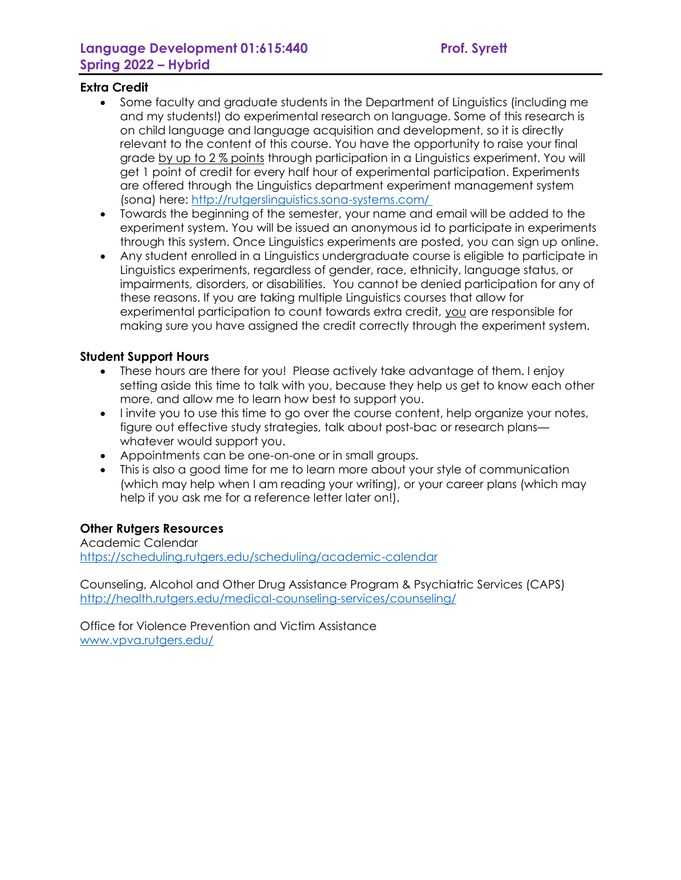### **Extra Credit**

- Some faculty and graduate students in the Department of Linguistics (including me and my students!) do experimental research on language. Some of this research is on child language and language acquisition and development, so it is directly relevant to the content of this course. You have the opportunity to raise your final grade by up to 2 % points through participation in a Linguistics experiment. You will get 1 point of credit for every half hour of experimental participation. Experiments are offered through the Linguistics department experiment management system (sona) here: [http://rutgerslinguistics.sona-systems.com/](http://rutgerslinguistics.sona-systems.com/ )
- Towards the beginning of the semester, your name and email will be added to the experiment system. You will be issued an anonymous id to participate in experiments through this system. Once Linguistics experiments are posted, you can sign up online.
- Any student enrolled in a Linguistics undergraduate course is eligible to participate in Linguistics experiments, regardless of gender, race, ethnicity, language status, or impairments, disorders, or disabilities. You cannot be denied participation for any of these reasons. If you are taking multiple Linguistics courses that allow for experimental participation to count towards extra credit, you are responsible for making sure you have assigned the credit correctly through the experiment system.

### **Student Support Hours**

- These hours are there for you! Please actively take advantage of them. I enjoy setting aside this time to talk with you, because they help us get to know each other more, and allow me to learn how best to support you.
- I invite you to use this time to go over the course content, help organize your notes, figure out effective study strategies, talk about post-bac or research plans whatever would support you.
- Appointments can be one-on-one or in small groups.
- This is also a good time for me to learn more about your style of communication (which may help when I am reading your writing), or your career plans (which may help if you ask me for a reference letter later on!).

## **Other Rutgers Resources**

Academic Calendar <https://scheduling.rutgers.edu/scheduling/academic-calendar>

Counseling, Alcohol and Other Drug Assistance Program & Psychiatric Services (CAPS) <http://health.rutgers.edu/medical-counseling-services/counseling/>

Office for Violence Prevention and Victim Assistance [www.vpva.rutgers.edu/](http://www.vpva.rutgers.edu/)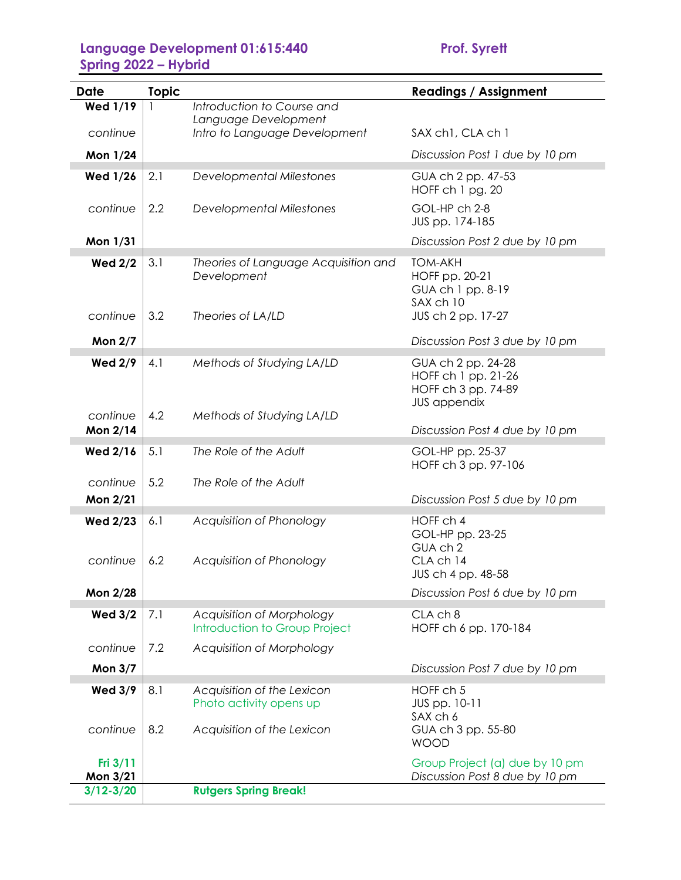| Date                                  | <b>Topic</b> |                                                                                     | <b>Readings / Assignment</b>                                                            |
|---------------------------------------|--------------|-------------------------------------------------------------------------------------|-----------------------------------------------------------------------------------------|
| <b>Wed 1/19</b>                       |              | Introduction to Course and                                                          |                                                                                         |
| continue                              |              | Language Development<br>Intro to Language Development                               | SAX ch1, CLA ch 1                                                                       |
| Mon 1/24                              |              |                                                                                     | Discussion Post 1 due by 10 pm                                                          |
| <b>Wed 1/26</b>                       | 2.1          | <b>Developmental Milestones</b>                                                     | GUA ch 2 pp. 47-53<br>HOFF ch 1 pg. 20                                                  |
| continue                              | 2.2          | <b>Developmental Milestones</b>                                                     | GOL-HP ch 2-8<br>JUS pp. 174-185                                                        |
| Mon 1/31                              |              |                                                                                     | Discussion Post 2 due by 10 pm                                                          |
| <b>Wed 2/2</b>                        | 3.1          | Theories of Language Acquisition and<br>Development                                 | <b>TOM-AKH</b><br>HOFF pp. 20-21<br>GUA ch 1 pp. 8-19<br>SAX ch 10                      |
| continue                              | 3.2          | Theories of LA/LD                                                                   | JUS ch 2 pp. 17-27                                                                      |
| <b>Mon 2/7</b>                        |              |                                                                                     | Discussion Post 3 due by 10 pm                                                          |
| <b>Wed 2/9</b>                        | 4.1          | Methods of Studying LA/LD                                                           | GUA ch 2 pp. 24-28<br>HOFF ch 1 pp. 21-26<br>HOFF ch 3 pp. 74-89<br><b>JUS appendix</b> |
| continue<br>Mon 2/14                  | 4.2          | Methods of Studying LA/LD                                                           | Discussion Post 4 due by 10 pm                                                          |
| <b>Wed 2/16</b>                       | 5.1          | The Role of the Adult                                                               | GOL-HP pp. 25-37<br>HOFF ch 3 pp. 97-106                                                |
| continue                              | 5.2          | The Role of the Adult                                                               |                                                                                         |
| Mon 2/21                              |              |                                                                                     | Discussion Post 5 due by 10 pm                                                          |
| <b>Wed 2/23</b><br>continue           | 6.1<br>6.2   | Acquisition of Phonology<br>Acquisition of Phonology                                | HOFF ch 4<br>GOL-HP pp. 23-25<br>GUA ch 2<br>CLA ch 14<br>JUS ch 4 pp. 48-58            |
| Mon 2/28                              |              |                                                                                     | Discussion Post 6 due by 10 pm                                                          |
| <b>Wed 3/2</b>                        | 7.1          | Acquisition of Morphology<br>Introduction to Group Project                          | CLA ch 8<br>HOFF ch 6 pp. 170-184                                                       |
| continue                              | 7.2          | Acquisition of Morphology                                                           |                                                                                         |
| <b>Mon 3/7</b>                        |              |                                                                                     | Discussion Post 7 due by 10 pm                                                          |
| <b>Wed 3/9</b><br>continue            | 8.1<br>8.2   | Acquisition of the Lexicon<br>Photo activity opens up<br>Acquisition of the Lexicon | HOFF ch 5<br>JUS pp. 10-11<br>SAX ch 6<br>GUA ch 3 pp. 55-80                            |
| Fri 3/11<br>Mon 3/21<br>$3/12 - 3/20$ |              | <b>Rutgers Spring Break!</b>                                                        | <b>WOOD</b><br>Group Project (a) due by 10 pm<br>Discussion Post 8 due by 10 pm         |